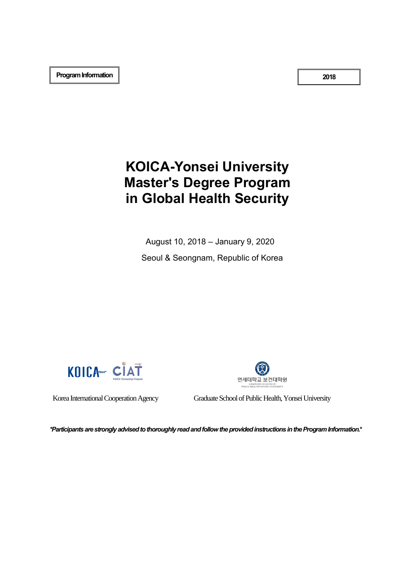**2018**

## **KOICA-Yonsei University Master's Degree Program in Global Health Security**

August 10, 2018 – January 9, 2020 Seoul & Seongnam, Republic of Korea





Korea International Cooperation Agency Graduate School of Public Health, Yonsei University

*\*Participants are strongly advised to thoroughly read and follow the provided instructions in the Program Information.***\***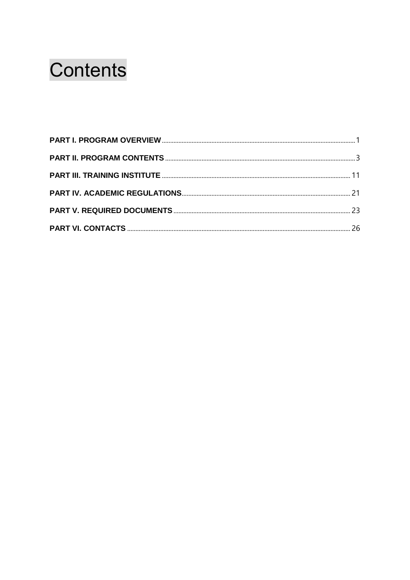# Contents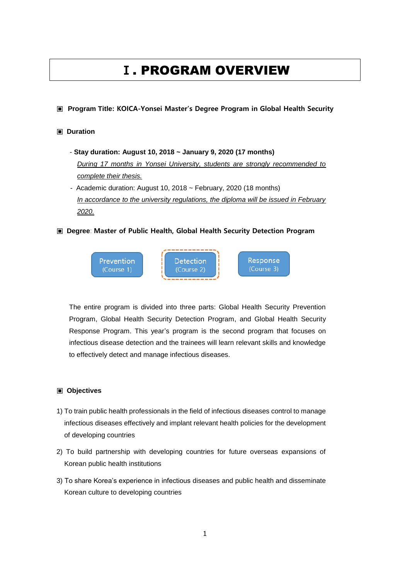## **Ⅰ**. PROGRAM OVERVIEW

#### <span id="page-2-0"></span>**▣ Program Title: KOICA-Yonsei Master's Degree Program in Global Health Security**

#### **▣ Duration**

- **Stay duration: August 10, 2018 ~ January 9, 2020 (17 months)** *During 17 months in Yonsei University, students are strongly recommended to complete their thesis.*
- Academic duration: August 10, 2018 ~ February, 2020 (18 months) *In accordance to the university regulations, the diploma will be issued in February 2020.*

#### **▣ Degree**: **Master of Public Health, Global Health Security Detection Program**



The entire program is divided into three parts: Global Health Security Prevention Program, Global Health Security Detection Program, and Global Health Security Response Program. This year's program is the second program that focuses on infectious disease detection and the trainees will learn relevant skills and knowledge to effectively detect and manage infectious diseases.

#### **▣ Objectives**

- 1) To train public health professionals in the field of infectious diseases control to manage infectious diseases effectively and implant relevant health policies for the development of developing countries
- 2) To build partnership with developing countries for future overseas expansions of Korean public health institutions
- 3) To share Korea's experience in infectious diseases and public health and disseminate Korean culture to developing countries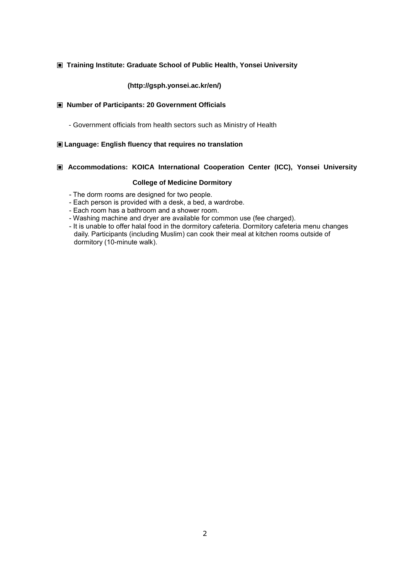#### **▣ Training Institute: Graduate School of Public Health, Yonsei University**

#### **(http://gsph.yonsei.ac.kr/en/)**

#### **▣ Number of Participants: 20 Government Officials**

- Government officials from health sectors such as Ministry of Health

#### **▣Language: English fluency that requires no translation**

#### **▣ Accommodations: KOICA International Cooperation Center (ICC), Yonsei University**

#### **College of Medicine Dormitory**

- The dorm rooms are designed for two people.
- Each person is provided with a desk, a bed, a wardrobe.
- Each room has a bathroom and a shower room.
- Washing machine and dryer are available for common use (fee charged).
- It is unable to offer halal food in the dormitory cafeteria. Dormitory cafeteria menu changes daily. Participants (including Muslim) can cook their meal at kitchen rooms outside of dormitory (10-minute walk).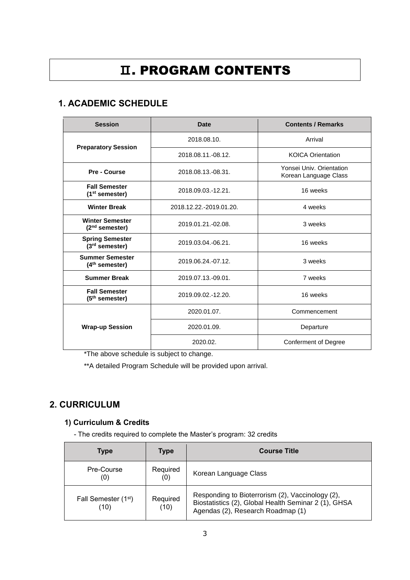## <span id="page-4-0"></span>**Ⅱ**. PROGRAM CONTENTS

## **1. ACADEMIC SCHEDULE**

| <b>Session</b>                                                             | Date                                                                    | <b>Contents / Remarks</b>   |  |
|----------------------------------------------------------------------------|-------------------------------------------------------------------------|-----------------------------|--|
|                                                                            | 2018.08.10.                                                             | Arrival                     |  |
| <b>Preparatory Session</b>                                                 | 2018.08.11.-08.12.                                                      | <b>KOICA Orientation</b>    |  |
| Pre - Course                                                               | Yonsei Univ. Orientation<br>2018.08.13.-08.31.<br>Korean Language Class |                             |  |
| <b>Fall Semester</b><br>$(1st$ semester)                                   | 2018.09.03.-12.21.                                                      | 16 weeks                    |  |
| <b>Winter Break</b>                                                        | 2018.12.22.-2019.01.20.                                                 | 4 weeks                     |  |
| <b>Winter Semester</b><br>$(2nd$ semester)                                 | 2019.01.21.-02.08.                                                      | 3 weeks                     |  |
| <b>Spring Semester</b><br>2019.03.04.-06.21.<br>(3 <sup>rd</sup> semester) |                                                                         | 16 weeks                    |  |
| <b>Summer Semester</b><br>2019.06.24.-07.12.<br>(4 <sup>th</sup> semester) |                                                                         | 3 weeks                     |  |
| <b>Summer Break</b>                                                        | 2019.07.13.-09.01.                                                      | 7 weeks                     |  |
| <b>Fall Semester</b><br>$(5th$ semester)                                   | 16 weeks<br>2019.09.02.-12.20.                                          |                             |  |
|                                                                            | 2020.01.07.                                                             | Commencement                |  |
| <b>Wrap-up Session</b>                                                     | 2020.01.09.                                                             | Departure                   |  |
|                                                                            | 2020.02.                                                                | <b>Conferment of Degree</b> |  |

\*The above schedule is subject to change.

\*\*A detailed Program Schedule will be provided upon arrival.

## **2. CURRICULUM**

## **1) Curriculum & Credits**

- The credits required to complete the Master's program: 32 credits

| <b>Type</b>                              | Type             | <b>Course Title</b>                                                                                                                           |
|------------------------------------------|------------------|-----------------------------------------------------------------------------------------------------------------------------------------------|
| Pre-Course<br>(0)                        | Required<br>(0)  | Korean Language Class                                                                                                                         |
| Fall Semester (1 <sup>st</sup> )<br>(10) | Required<br>(10) | Responding to Bioterrorism (2), Vaccinology (2),<br>Biostatistics (2), Global Health Seminar 2 (1), GHSA<br>Agendas (2), Research Roadmap (1) |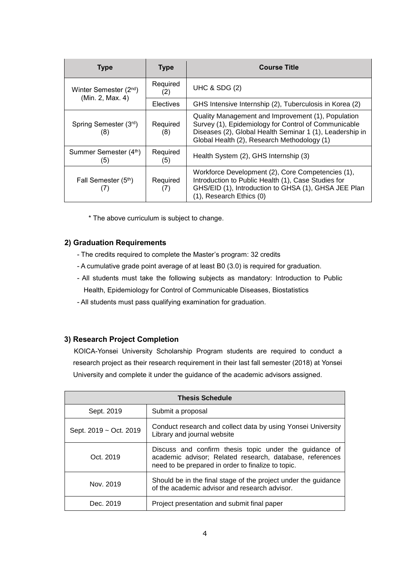| <b>Type</b>                                            | <b>Type</b>      | <b>Course Title</b>                                                                                                                                                                                                   |
|--------------------------------------------------------|------------------|-----------------------------------------------------------------------------------------------------------------------------------------------------------------------------------------------------------------------|
| Winter Semester (2 <sup>nd</sup> )<br>(Min. 2, Max. 4) | Required<br>(2)  | UHC & SDG $(2)$                                                                                                                                                                                                       |
|                                                        | <b>Electives</b> | GHS Intensive Internship (2), Tuberculosis in Korea (2)                                                                                                                                                               |
| Spring Semester (3rd)<br>(8)                           | Required<br>(8)  | Quality Management and Improvement (1), Population<br>Survey (1), Epidemiology for Control of Communicable<br>Diseases (2), Global Health Seminar 1 (1), Leadership in<br>Global Health (2), Research Methodology (1) |
| Summer Semester (4th)<br>(5)                           | Required<br>(5)  | Health System (2), GHS Internship (3)                                                                                                                                                                                 |
| Fall Semester (5 <sup>th</sup> )<br>$\left( \right)$   | Required<br>(7)  | Workforce Development (2), Core Competencies (1),<br>Introduction to Public Health (1), Case Studies for<br>GHS/EID (1), Introduction to GHSA (1), GHSA JEE Plan<br>(1), Research Ethics (0)                          |

\* The above curriculum is subject to change.

#### **2) Graduation Requirements**

- The credits required to complete the Master's program: 32 credits
- A cumulative grade point average of at least B0 (3.0) is required for graduation.
- All students must take the following subjects as mandatory: Introduction to Public Health, Epidemiology for Control of Communicable Diseases, Biostatistics
- All students must pass qualifying examination for graduation.

#### **3) Research Project Completion**

KOICA-Yonsei University Scholarship Program students are required to conduct a research project as their research requirement in their last fall semester (2018) at Yonsei University and complete it under the guidance of the academic advisors assigned.

| <b>Thesis Schedule</b> |                                                                                                                                                                          |  |  |
|------------------------|--------------------------------------------------------------------------------------------------------------------------------------------------------------------------|--|--|
| Sept. 2019             | Submit a proposal                                                                                                                                                        |  |  |
| Sept. 2019 ~ Oct. 2019 | Conduct research and collect data by using Yonsei University<br>Library and journal website                                                                              |  |  |
| Oct. 2019              | Discuss and confirm thesis topic under the guidance of<br>academic advisor; Related research, database, references<br>need to be prepared in order to finalize to topic. |  |  |
| Nov. 2019              | Should be in the final stage of the project under the guidance<br>of the academic advisor and research advisor.                                                          |  |  |
| Dec. 2019              | Project presentation and submit final paper                                                                                                                              |  |  |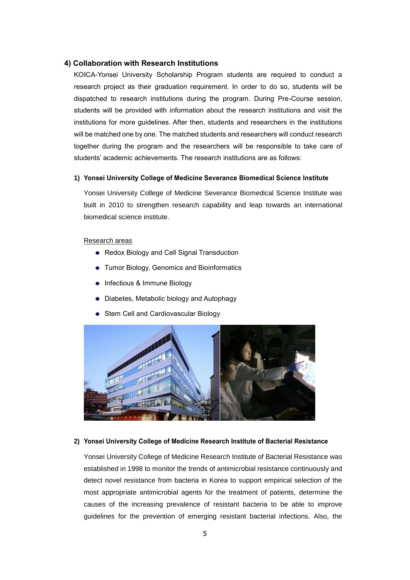#### **4) Collaboration with Research Institutions**

KOICA-Yonsei University Scholarship Program students are required to conduct a research project as their graduation requirement. In order to do so, students will be dispatched to research institutions during the program. During Pre-Course session, students will be provided with information about the research institutions and visit the institutions for more guidelines. After then, students and researchers in the institutions will be matched one by one. The matched students and researchers will conduct research together during the program and the researchers will be responsible to take care of students' academic achievements. The research institutions are as follows:

#### **1) Yonsei University College of Medicine Severance Biomedical Science Institute**

Yonsei University College of Medicine Severance Biomedical Science Institute was built in 2010 to strengthen research capability and leap towards an international biomedical science institute.

#### Research areas

- Redox Biology and Cell Signal Transduction
- Tumor Biology, Genomics and Bioinformatics
- Infectious & Immune Biology
- Diabetes, Metabolic biology and Autophagy
- Stem Cell and Cardiovascular Biology



#### **2) Yonsei University College of Medicine Research Institute of Bacterial Resistance**

Yonsei University College of Medicine Research Institute of Bacterial Resistance was established in 1998 to monitor the trends of antimicrobial resistance continuously and detect novel resistance from bacteria in Korea to support empirical selection of the most appropriate antimicrobial agents for the treatment of patients, determine the causes of the increasing prevalence of resistant bacteria to be able to improve guidelines for the prevention of emerging resistant bacterial infections. Also, the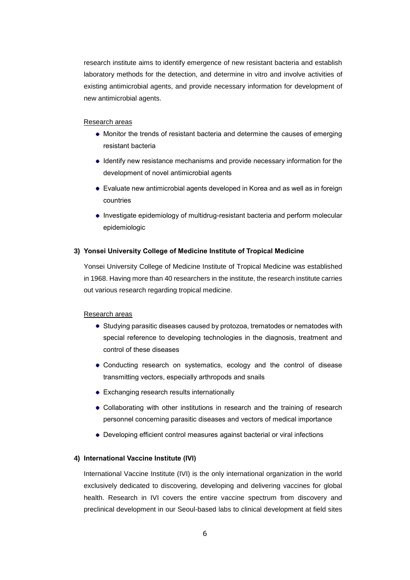research institute aims to identify emergence of new resistant bacteria and establish laboratory methods for the detection, and determine in vitro and involve activities of existing antimicrobial agents, and provide necessary information for development of new antimicrobial agents.

#### Research areas

- Monitor the trends of resistant bacteria and determine the causes of emerging resistant bacteria
- Identify new resistance mechanisms and provide necessary information for the development of novel antimicrobial agents
- Evaluate new antimicrobial agents developed in Korea and as well as in foreign countries
- Investigate epidemiology of multidrug-resistant bacteria and perform molecular epidemiologic

#### **3) Yonsei University College of Medicine Institute of Tropical Medicine**

Yonsei University College of Medicine Institute of Tropical Medicine was established in 1968. Having more than 40 researchers in the institute, the research institute carries out various research regarding tropical medicine.

#### Research areas

- Studying parasitic diseases caused by protozoa, trematodes or nematodes with special reference to developing technologies in the diagnosis, treatment and control of these diseases
- Conducting research on systematics, ecology and the control of disease transmitting vectors, especially arthropods and snails
- Exchanging research results internationally
- Collaborating with other institutions in research and the training of research personnel concerning parasitic diseases and vectors of medical importance
- Developing efficient control measures against bacterial or viral infections

#### **4) International Vaccine Institute (IVI)**

International Vaccine Institute (IVI) is the only international organization in the world exclusively dedicated to discovering, developing and delivering vaccines for global health. Research in IVI covers the entire vaccine spectrum from discovery and preclinical development in our Seoul-based labs to clinical development at field sites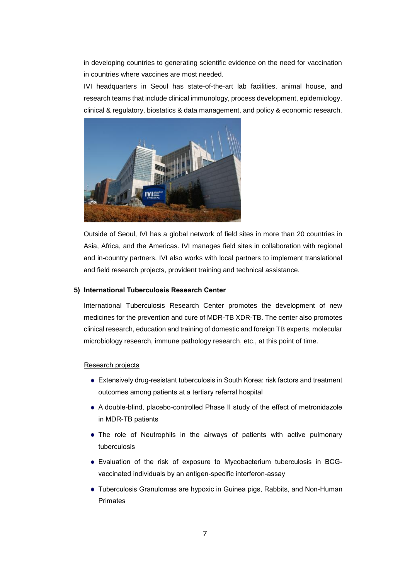in developing countries to generating scientific evidence on the need for vaccination in countries where vaccines are most needed.

IVI headquarters in Seoul has state-of-the-art lab facilities, animal house, and research teams that include clinical immunology, process development, epidemiology, clinical & regulatory, biostatics & data management, and policy & economic research.



Outside of Seoul, IVI has a global network of field sites in more than 20 countries in Asia, Africa, and the Americas. IVI manages field sites in collaboration with regional and in-country partners. IVI also works with local partners to implement translational and field research projects, provident training and technical assistance.

#### **5) International Tuberculosis Research Center**

International Tuberculosis Research Center promotes the development of new medicines for the prevention and cure of MDR-TB XDR-TB. The center also promotes clinical research, education and training of domestic and foreign TB experts, molecular microbiology research, immune pathology research, etc., at this point of time.

#### Research projects

- Extensively drug-resistant tuberculosis in South Korea: risk factors and treatment outcomes among patients at a tertiary referral hospital
- A double-blind, placebo-controlled Phase II study of the effect of metronidazole in MDR-TB patients
- The role of Neutrophils in the airways of patients with active pulmonary tuberculosis
- Evaluation of the risk of exposure to Mycobacterium tuberculosis in BCGvaccinated individuals by an antigen-specific interferon-assay
- Tuberculosis Granulomas are hypoxic in Guinea pigs, Rabbits, and Non-Human Primates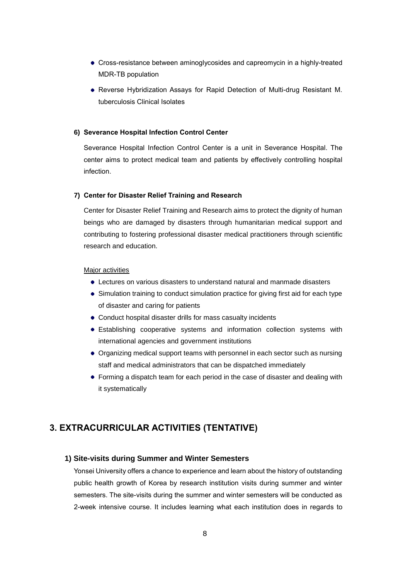- Cross-resistance between aminoglycosides and capreomycin in a highly-treated MDR-TB population
- Reverse Hybridization Assays for Rapid Detection of Multi-drug Resistant M. tuberculosis Clinical Isolates

#### **6) Severance Hospital Infection Control Center**

Severance Hospital Infection Control Center is a unit in Severance Hospital. The center aims to protect medical team and patients by effectively controlling hospital infection.

#### **7) Center for Disaster Relief Training and Research**

Center for Disaster Relief Training and Research aims to protect the dignity of human beings who are damaged by disasters through humanitarian medical support and contributing to fostering professional disaster medical practitioners through scientific research and education.

#### Major activities

- Lectures on various disasters to understand natural and manmade disasters
- Simulation training to conduct simulation practice for giving first aid for each type of disaster and caring for patients
- Conduct hospital disaster drills for mass casualty incidents
- Establishing cooperative systems and information collection systems with international agencies and government institutions
- Organizing medical support teams with personnel in each sector such as nursing staff and medical administrators that can be dispatched immediately
- Forming a dispatch team for each period in the case of disaster and dealing with it systematically

### **3. EXTRACURRICULAR ACTIVITIES (TENTATIVE)**

#### **1) Site-visits during Summer and Winter Semesters**

Yonsei University offers a chance to experience and learn about the history of outstanding public health growth of Korea by research institution visits during summer and winter semesters. The site-visits during the summer and winter semesters will be conducted as 2-week intensive course. It includes learning what each institution does in regards to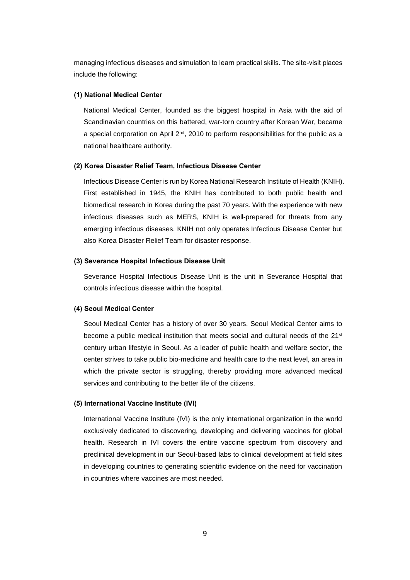managing infectious diseases and simulation to learn practical skills. The site-visit places include the following:

#### **(1) National Medical Center**

National Medical Center, founded as the biggest hospital in Asia with the aid of Scandinavian countries on this battered, war-torn country after Korean War, became a special corporation on April  $2<sup>nd</sup>$ , 2010 to perform responsibilities for the public as a national healthcare authority.

#### **(2) Korea Disaster Relief Team, Infectious Disease Center**

Infectious Disease Center is run by Korea National Research Institute of Health (KNIH). First established in 1945, the KNIH has contributed to both public health and biomedical research in Korea during the past 70 years. With the experience with new infectious diseases such as MERS, KNIH is well-prepared for threats from any emerging infectious diseases. KNIH not only operates Infectious Disease Center but also Korea Disaster Relief Team for disaster response.

#### **(3) Severance Hospital Infectious Disease Unit**

Severance Hospital Infectious Disease Unit is the unit in Severance Hospital that controls infectious disease within the hospital.

#### **(4) Seoul Medical Center**

Seoul Medical Center has a history of over 30 years. Seoul Medical Center aims to become a public medical institution that meets social and cultural needs of the 21st century urban lifestyle in Seoul. As a leader of public health and welfare sector, the center strives to take public bio-medicine and health care to the next level, an area in which the private sector is struggling, thereby providing more advanced medical services and contributing to the better life of the citizens.

#### **(5) International Vaccine Institute (IVI)**

International Vaccine Institute (IVI) is the only international organization in the world exclusively dedicated to discovering, developing and delivering vaccines for global health. Research in IVI covers the entire vaccine spectrum from discovery and preclinical development in our Seoul-based labs to clinical development at field sites in developing countries to generating scientific evidence on the need for vaccination in countries where vaccines are most needed.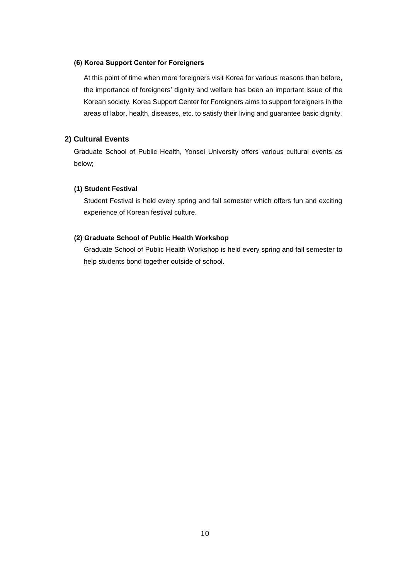#### **(6) Korea Support Center for Foreigners**

At this point of time when more foreigners visit Korea for various reasons than before, the importance of foreigners' dignity and welfare has been an important issue of the Korean society. Korea Support Center for Foreigners aims to support foreigners in the areas of labor, health, diseases, etc. to satisfy their living and guarantee basic dignity.

#### **2) Cultural Events**

Graduate School of Public Health, Yonsei University offers various cultural events as below;

#### **(1) Student Festival**

Student Festival is held every spring and fall semester which offers fun and exciting experience of Korean festival culture.

#### **(2) Graduate School of Public Health Workshop**

Graduate School of Public Health Workshop is held every spring and fall semester to help students bond together outside of school.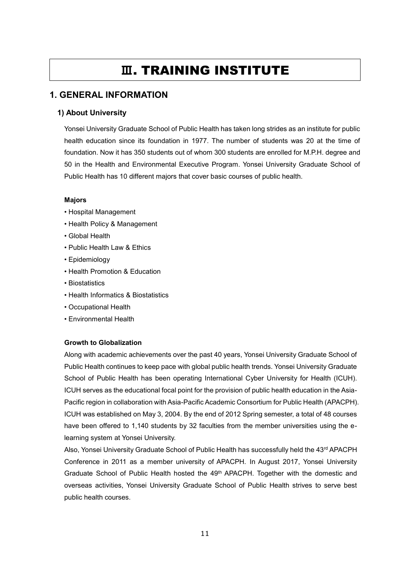## **Ⅲ**. TRAINING INSTITUTE

### <span id="page-12-0"></span>**1. GENERAL INFORMATION**

#### **1) About University**

Yonsei University Graduate School of Public Health has taken long strides as an institute for public health education since its foundation in 1977. The number of students was 20 at the time of foundation. Now it has 350 students out of whom 300 students are enrolled for M.P.H. degree and 50 in the Health and Environmental Executive Program. Yonsei University Graduate School of Public Health has 10 different majors that cover basic courses of public health.

#### **Majors**

- Hospital Management
- Health Policy & Management
- Global Health
- Public Health Law & Ethics
- Epidemiology
- Health Promotion & Education
- Biostatistics
- Health Informatics & Biostatistics
- Occupational Health
- Environmental Health

#### **Growth to Globalization**

Along with academic achievements over the past 40 years, Yonsei University Graduate School of Public Health continues to keep pace with global public health trends. Yonsei University Graduate School of Public Health has been operating International Cyber University for Health (ICUH). ICUH serves as the educational focal point for the provision of public health education in the Asia-Pacific region in collaboration with Asia-Pacific Academic Consortium for Public Health (APACPH). ICUH was established on May 3, 2004. By the end of 2012 Spring semester, a total of 48 courses have been offered to 1,140 students by 32 faculties from the member universities using the elearning system at Yonsei University.

Also, Yonsei University Graduate School of Public Health has successfully held the 43rd APACPH Conference in 2011 as a member university of APACPH. In August 2017, Yonsei University Graduate School of Public Health hosted the 49th APACPH. Together with the domestic and overseas activities, Yonsei University Graduate School of Public Health strives to serve best public health courses.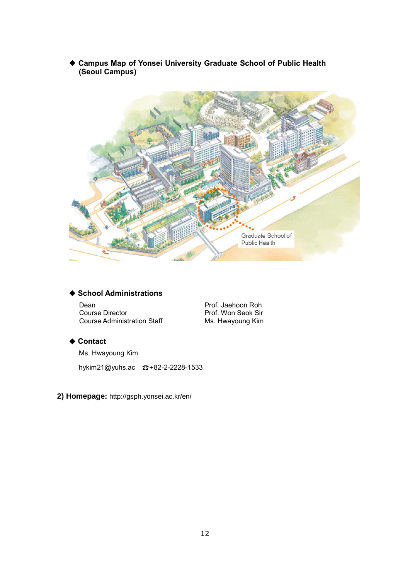**Campus Map of Yonsei University Graduate School of Public Health (Seoul Campus)**



## **School Administrations**

Dean **Prof. Jaehoon Roh** Course Director Course Administration Staff

Prof. Won Seok Sir Ms. Hwayoung Kim

#### **Contact**

Ms. Hwayoung Kim

hykim21@yuhs.ac ☎+82-2-2228-1533

**2) Homepage:** http://gsph.yonsei.ac.kr/en/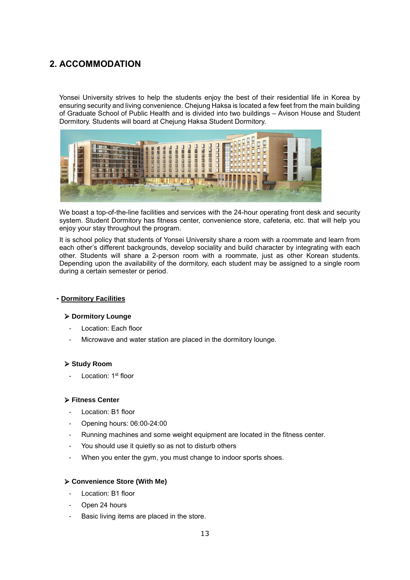## **2. ACCOMMODATION**

Yonsei University strives to help the students enjoy the best of their residential life in Korea by ensuring security and living convenience. Chejung Haksa is located a few feet from the main building of Graduate School of Public Health and is divided into two buildings – Avison House and Student Dormitory. Students will board at Chejung Haksa Student Dormitory.



We boast a top-of-the-line facilities and services with the 24-hour operating front desk and security system. Student Dormitory has fitness center, convenience store, cafeteria, etc. that will help you enjoy your stay throughout the program.

It is school policy that students of Yonsei University share a room with a roommate and learn from each other's different backgrounds, develop sociality and build character by integrating with each other. Students will share a 2-person room with a roommate, just as other Korean students. Depending upon the availability of the dormitory, each student may be assigned to a single room during a certain semester or period.

#### **- Dormitory Facilities**

#### ➢ **Dormitory Lounge**

- Location: Each floor
- Microwave and water station are placed in the dormitory lounge.

#### ➢ **Study Room**

- Location: 1<sup>st</sup> floor

#### ➢ **Fitness Center**

- Location: B1 floor
- Opening hours: 06:00-24:00
- Running machines and some weight equipment are located in the fitness center.
- You should use it quietly so as not to disturb others
- When you enter the gym, you must change to indoor sports shoes.

#### ➢ **Convenience Store (With Me)**

- Location: B1 floor
- Open 24 hours
- Basic living items are placed in the store.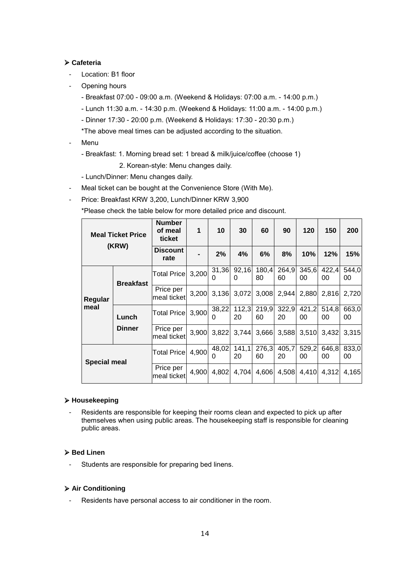#### ➢ **Cafeteria**

- Location: B1 floor
- Opening hours
	- Breakfast 07:00 09:00 a.m. (Weekend & Holidays: 07:00 a.m. 14:00 p.m.)
	- Lunch 11:30 a.m. 14:30 p.m. (Weekend & Holidays: 11:00 a.m. 14:00 p.m.)
	- Dinner 17:30 20:00 p.m. (Weekend & Holidays: 17:30 20:30 p.m.)

\*The above meal times can be adjusted according to the situation.

- Menu
	- Breakfast: 1. Morning bread set: 1 bread & milk/juice/coffee (choose 1)
		- 2. Korean-style: Menu changes daily.
	- Lunch/Dinner: Menu changes daily.
- Meal ticket can be bought at the Convenience Store (With Me).
- Price: Breakfast KRW 3,200, Lunch/Dinner KRW 3,900

\*Please check the table below for more detailed price and discount.

| <b>Meal Ticket Price</b><br>(KRW) |                  | Number<br>of meal<br>ticket | 1     | 10                | 30          | 60          | 90          | 120         | 150         | 200         |
|-----------------------------------|------------------|-----------------------------|-------|-------------------|-------------|-------------|-------------|-------------|-------------|-------------|
|                                   |                  | <b>Discount</b><br>rate     |       | 2%                | 4%          | 6%          | 8%          | 10%         | 12%         | 15%         |
|                                   | <b>Breakfast</b> | <b>Total Price</b>          | 3,200 | 31,36<br>0        | 92,16<br>0  | 180.4<br>80 | 264,9<br>60 | 345,6<br>00 | 422,4<br>00 | 544,0<br>00 |
| Regular<br>meal                   |                  | Price per<br>meal ticket    | 3,200 | 3,136             | 3,072       | 3,008       | 2,944       | 2,880       | 2,816       | 2,720       |
|                                   | Lunch            | <b>Total Pricel</b>         | 3,900 | 38,22<br>0        | 112,3<br>20 | 219,9<br>60 | 322,9<br>20 | 421,2<br>00 | 514,8<br>00 | 663,0<br>00 |
|                                   | <b>Dinner</b>    | Price per<br>meal ticket    | 3,900 | 3,822             | 3,744       | 3,666       | 3,588       | 3,510       | 3,432       | 3,315       |
| <b>Special meal</b>               |                  | <b>Total Price</b>          | 4,900 | 48,02<br>$\Omega$ | 141,1<br>20 | 276,3<br>60 | 405,7<br>20 | 529,2<br>00 | 646,8<br>00 | 833,0<br>00 |
|                                   |                  | Price per<br>meal ticket    | 4,900 | 4,802             | 4.704       | 4,606       | 4,508       | 4,410       | 4,312       | 4,165       |

#### ➢ **Housekeeping**

Residents are responsible for keeping their rooms clean and expected to pick up after themselves when using public areas. The housekeeping staff is responsible for cleaning public areas.

#### ➢ **Bed Linen**

- Students are responsible for preparing bed linens.

#### ➢ **Air Conditioning**

Residents have personal access to air conditioner in the room.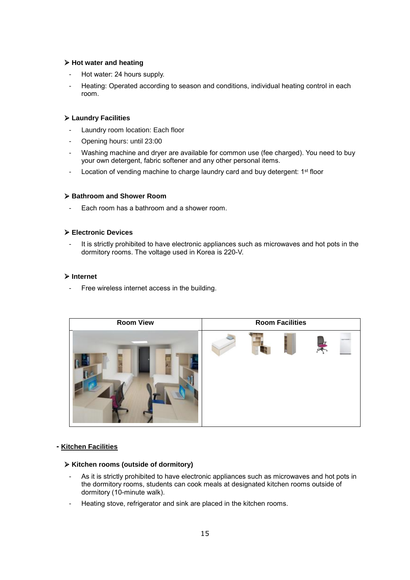#### ➢ **Hot water and heating**

- Hot water: 24 hours supply.
- Heating: Operated according to season and conditions, individual heating control in each room.

#### ➢ **Laundry Facilities**

- Laundry room location: Each floor
- Opening hours: until 23:00
- Washing machine and dryer are available for common use (fee charged). You need to buy your own detergent, fabric softener and any other personal items.
- Location of vending machine to charge laundry card and buy detergent: 1<sup>st</sup> floor

#### ➢ **Bathroom and Shower Room**

Each room has a bathroom and a shower room.

#### ➢ **Electronic Devices**

It is strictly prohibited to have electronic appliances such as microwaves and hot pots in the dormitory rooms. The voltage used in Korea is 220-V.

#### ➢ **Internet**

Free wireless internet access in the building.



#### **- Kitchen Facilities**

#### ➢ **Kitchen rooms (outside of dormitory)**

- As it is strictly prohibited to have electronic appliances such as microwaves and hot pots in the dormitory rooms, students can cook meals at designated kitchen rooms outside of dormitory (10-minute walk).
- Heating stove, refrigerator and sink are placed in the kitchen rooms.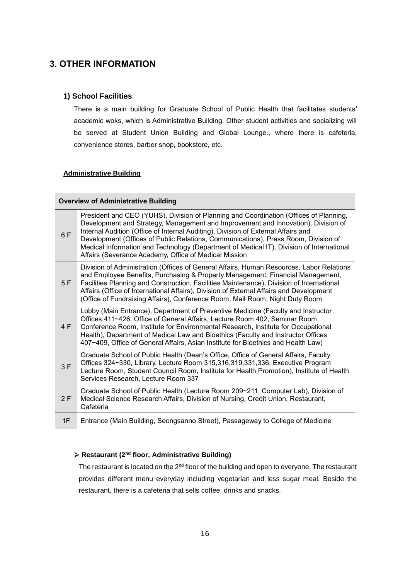## **3. OTHER INFORMATION**

#### **1) School Facilities**

There is a main building for Graduate School of Public Health that facilitates students' academic woks, which is Administrative Building. Other student activities and socializing will be served at Student Union Building and Global Lounge., where there is cafeteria, convenience stores, barber shop, bookstore, etc.

#### **Administrative Building**

|     | <b>Overview of Administrative Building</b>                                                                                                                                                                                                                                                                                                                                                                                                                                                                 |
|-----|------------------------------------------------------------------------------------------------------------------------------------------------------------------------------------------------------------------------------------------------------------------------------------------------------------------------------------------------------------------------------------------------------------------------------------------------------------------------------------------------------------|
| 6 F | President and CEO (YUHS), Division of Planning and Coordination (Offices of Planning,<br>Development and Strategy, Management and Improvement and Innovation), Division of<br>Internal Audition (Office of Internal Auditing), Division of External Affairs and<br>Development (Offices of Public Relations, Communications), Press Room, Division of<br>Medical Information and Technology (Department of Medical IT), Division of International<br>Affairs (Severance Academy, Office of Medical Mission |
| 5F  | Division of Administration (Offices of General Affairs, Human Resources, Labor Relations<br>and Employee Benefits, Purchasing & Property Management, Financial Management,<br>Facilities Planning and Construction, Facilities Maintenance), Division of International<br>Affairs (Office of International Affairs), Division of External Affairs and Development<br>(Office of Fundraising Affairs), Conference Room, Mail Room, Night Duty Room                                                          |
| 4 F | Lobby (Main Entrance), Department of Preventive Medicine (Faculty and Instructor<br>Offices 411~426, Office of General Affairs, Lecture Room 402, Seminar Room,<br>Conference Room, Institute for Environmental Research, Institute for Occupational<br>Health), Department of Medical Law and Bioethics (Faculty and Instructor Offices<br>407~409, Office of General Affairs, Asian Institute for Bioethics and Health Law)                                                                              |
| 3F  | Graduate School of Public Health (Dean's Office, Office of General Affairs, Faculty<br>Offices 324~330, Library, Lecture Room 315,316,319,331,336, Executive Program<br>Lecture Room, Student Council Room, Institute for Health Promotion), Institute of Health<br>Services Research, Lecture Room 337                                                                                                                                                                                                    |
| 2F  | Graduate School of Public Health (Lecture Room 209~211, Computer Lab), Division of<br>Medical Science Research Affairs, Division of Nursing, Credit Union, Restaurant,<br>Cafeteria                                                                                                                                                                                                                                                                                                                        |
| 1F  | Entrance (Main Building, Seongsanno Street), Passageway to College of Medicine                                                                                                                                                                                                                                                                                                                                                                                                                             |

#### ➢ **Restaurant (2nd floor, Administrative Building)**

The restaurant is located on the 2<sup>nd</sup> floor of the building and open to everyone. The restaurant provides different menu everyday including vegetarian and less sugar meal. Beside the restaurant, there is a cafeteria that sells coffee, drinks and snacks.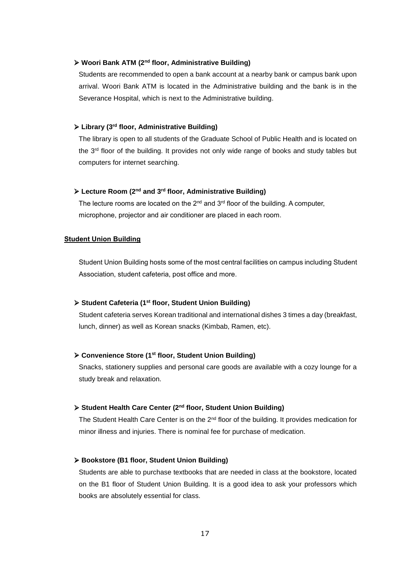#### ➢ **Woori Bank ATM (2nd floor, Administrative Building)**

Students are recommended to open a bank account at a nearby bank or campus bank upon arrival. Woori Bank ATM is located in the Administrative building and the bank is in the Severance Hospital, which is next to the Administrative building.

#### ➢ **Library (3rd floor, Administrative Building)**

The library is open to all students of the Graduate School of Public Health and is located on the  $3<sup>rd</sup>$  floor of the building. It provides not only wide range of books and study tables but computers for internet searching.

#### ➢ **Lecture Room (2nd and 3rd floor, Administrative Building)**

The lecture rooms are located on the  $2^{nd}$  and  $3^{rd}$  floor of the building. A computer, microphone, projector and air conditioner are placed in each room.

#### **Student Union Building**

Student Union Building hosts some of the most central facilities on campus including Student Association, student cafeteria, post office and more.

#### ➢ **Student Cafeteria (1st floor, Student Union Building)**

Student cafeteria serves Korean traditional and international dishes 3 times a day (breakfast, lunch, dinner) as well as Korean snacks (Kimbab, Ramen, etc).

#### ➢ **Convenience Store (1st floor, Student Union Building)**

Snacks, stationery supplies and personal care goods are available with a cozy lounge for a study break and relaxation.

#### ➢ **Student Health Care Center (2nd floor, Student Union Building)**

The Student Health Care Center is on the  $2<sup>nd</sup>$  floor of the building. It provides medication for minor illness and injuries. There is nominal fee for purchase of medication.

#### ➢ **Bookstore (B1 floor, Student Union Building)**

Students are able to purchase textbooks that are needed in class at the bookstore, located on the B1 floor of Student Union Building. It is a good idea to ask your professors which books are absolutely essential for class.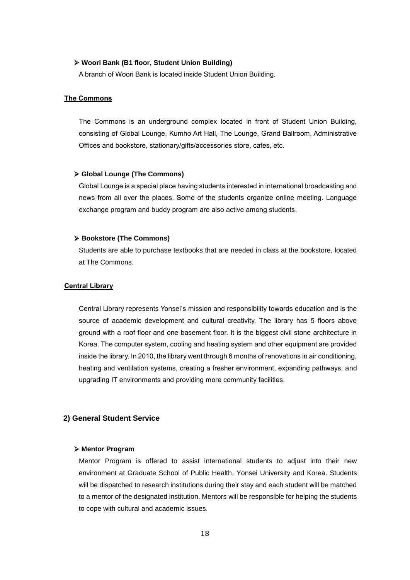#### ➢ **Woori Bank (B1 floor, Student Union Building)**

A branch of Woori Bank is located inside Student Union Building.

#### **The Commons**

The Commons is an underground complex located in front of Student Union Building, consisting of Global Lounge, Kumho Art Hall, The Lounge, Grand Ballroom, Administrative Offices and bookstore, stationary/gifts/accessories store, cafes, etc.

#### ➢ **Global Lounge (The Commons)**

Global Lounge is a special place having students interested in international broadcasting and news from all over the places. Some of the students organize online meeting. Language exchange program and buddy program are also active among students.

#### ➢ **Bookstore (The Commons)**

Students are able to purchase textbooks that are needed in class at the bookstore, located at The Commons.

#### **Central Library**

Central Library represents Yonsei's mission and responsibility towards education and is the source of academic development and cultural creativity. The library has 5 floors above ground with a roof floor and one basement floor. It is the biggest civil stone architecture in Korea. The computer system, cooling and heating system and other equipment are provided inside the library. In 2010, the library went through 6 months of renovations in air conditioning, heating and ventilation systems, creating a fresher environment, expanding pathways, and upgrading IT environments and providing more community facilities.

#### **2) General Student Service**

#### ➢ **Mentor Program**

Mentor Program is offered to assist international students to adjust into their new environment at Graduate School of Public Health, Yonsei University and Korea. Students will be dispatched to research institutions during their stay and each student will be matched to a mentor of the designated institution. Mentors will be responsible for helping the students to cope with cultural and academic issues.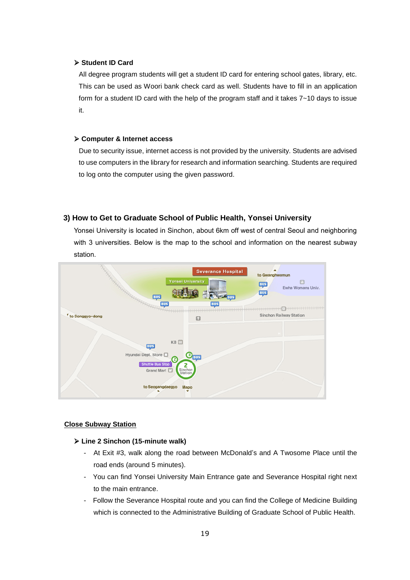#### ➢ **Student ID Card**

All degree program students will get a student ID card for entering school gates, library, etc. This can be used as Woori bank check card as well. Students have to fill in an application form for a student ID card with the help of the program staff and it takes 7~10 days to issue it.

#### ➢ **Computer & Internet access**

Due to security issue, internet access is not provided by the university. Students are advised to use computers in the library for research and information searching. Students are required to log onto the computer using the given password.

#### **3) How to Get to Graduate School of Public Health, Yonsei University**

Yonsei University is located in Sinchon, about 6km off west of central Seoul and neighboring with 3 universities. Below is the map to the school and information on the nearest subway station.



#### **Close Subway Station**

#### ➢ **Line 2 Sinchon (15-minute walk)**

- At Exit #3, walk along the road between McDonald's and A Twosome Place until the road ends (around 5 minutes).
- You can find Yonsei University Main Entrance gate and Severance Hospital right next to the main entrance.
- Follow the Severance Hospital route and you can find the College of Medicine Building which is connected to the Administrative Building of Graduate School of Public Health.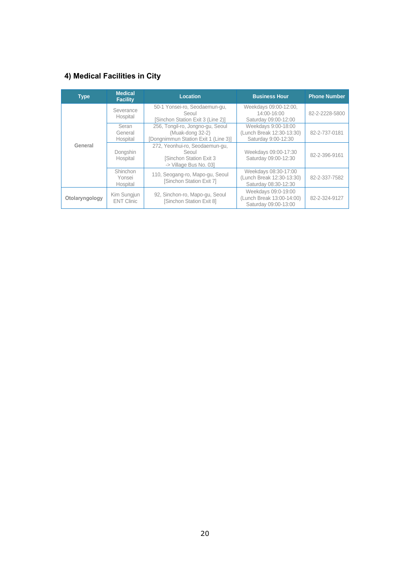## **4) Medical Facilities in City**

| <b>Type</b>    | <b>Medical</b><br><b>Facility</b> | <b>Location</b>                                                                                     | <b>Business Hour</b>                                                      | <b>Phone Number</b> |
|----------------|-----------------------------------|-----------------------------------------------------------------------------------------------------|---------------------------------------------------------------------------|---------------------|
|                | Severance<br>Hospital             | 50-1 Yonsei-ro, Seodaemun-qu,<br>Seoul<br>Sinchon Station Exit 3 (Line 2)]                          | Weekdays 09:00-12:00,<br>14:00-16:00<br>Saturday 09:00-12:00              | 82-2-2228-5800      |
|                | Seran<br>General<br>Hospital      | 256, Tongil-ro, Jongno-gu, Seoul<br>(Muak-dong 32-2)<br>[Dongnimmun Station Exit 1 (Line 3)]        | Weekdays 9:00-18:00<br>(Lunch Break 12:30-13:30)<br>Saturday 9:00-12:30   | 82-2-737-0181       |
| General        | Dongshin<br>Hospital              | 272, Yeonhui-ro, Seodaemun-qu,<br>Seoul<br><b>ISinchon Station Exit 3</b><br>-> Village Bus No. 03] | Weekdays 09:00-17:30<br>Saturday 09:00-12:30                              | 82-2-396-9161       |
|                | Shinchon<br>Yonsei<br>Hospital    | 110, Seogang-ro, Mapo-gu, Seoul<br>[Sinchon Station Exit 7]                                         | Weekdays 08:30-17:00<br>(Lunch Break 12:30-13:30)<br>Saturday 08:30-12:30 | 82-2-337-7582       |
| Otolaryngology | Kim Sungjun<br><b>ENT Clinic</b>  | 92, Sinchon-ro, Mapo-qu, Seoul<br>[Sinchon Station Exit 8]                                          | Weekdays 09:0-19:00<br>(Lunch Break 13:00-14:00)<br>Saturday 09:00-13:00  | 82-2-324-9127       |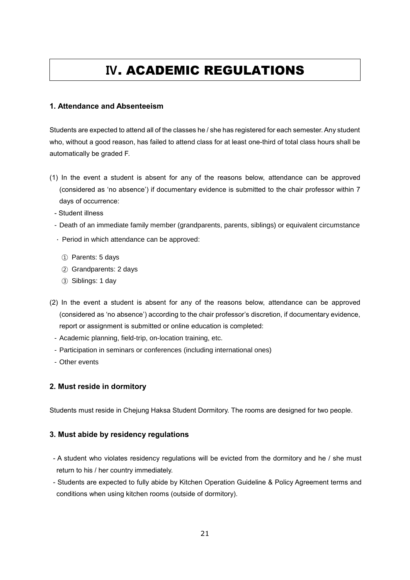## **Ⅳ**. ACADEMIC REGULATIONS

#### <span id="page-22-0"></span>**1. Attendance and Absenteeism**

Students are expected to attend all of the classes he / she has registered for each semester. Any student who, without a good reason, has failed to attend class for at least one-third of total class hours shall be automatically be graded F.

- (1) In the event a student is absent for any of the reasons below, attendance can be approved (considered as 'no absence') if documentary evidence is submitted to the chair professor within 7 days of occurrence:
	- Student illness
	- Death of an immediate family member (grandparents, parents, siblings) or equivalent circumstance
	- ∙ Period in which attendance can be approved:
		- ① Parents: 5 days
		- ② Grandparents: 2 days
		- ③ Siblings: 1 day
- (2) In the event a student is absent for any of the reasons below, attendance can be approved (considered as 'no absence') according to the chair professor's discretion, if documentary evidence, report or assignment is submitted or online education is completed:
	- Academic planning, field-trip, on-location training, etc.
	- Participation in seminars or conferences (including international ones)
	- Other events

#### **2. Must reside in dormitory**

Students must reside in Chejung Haksa Student Dormitory. The rooms are designed for two people.

#### **3. Must abide by residency regulations**

- A student who violates residency regulations will be evicted from the dormitory and he / she must return to his / her country immediately.
- Students are expected to fully abide by Kitchen Operation Guideline & Policy Agreement terms and conditions when using kitchen rooms (outside of dormitory).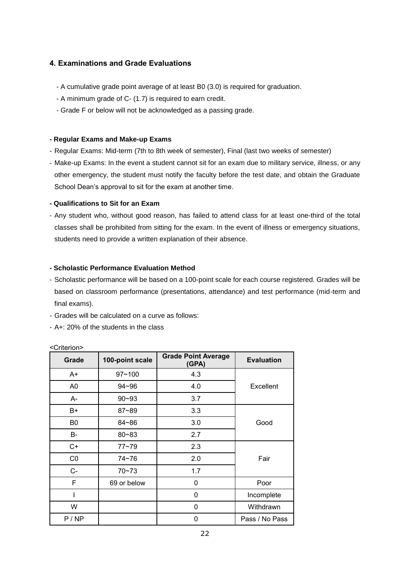### **4. Examinations and Grade Evaluations**

- A cumulative grade point average of at least B0 (3.0) is required for graduation.
- A minimum grade of C- (1.7) is required to earn credit.
- Grade F or below will not be acknowledged as a passing grade.

#### **- Regular Exams and Make-up Exams**

- Regular Exams: Mid-term (7th to 8th week of semester), Final (last two weeks of semester)
- Make-up Exams: In the event a student cannot sit for an exam due to military service, illness, or any other emergency, the student must notify the faculty before the test date, and obtain the Graduate School Dean's approval to sit for the exam at another time.

#### **- Qualifications to Sit for an Exam**

- Any student who, without good reason, has failed to attend class for at least one-third of the total classes shall be prohibited from sitting for the exam. In the event of illness or emergency situations, students need to provide a written explanation of their absence.

#### **- Scholastic Performance Evaluation Method**

- Scholastic performance will be based on a 100-point scale for each course registered. Grades will be based on classroom performance (presentations, attendance) and test performance (mid-term and final exams).
- Grades will be calculated on a curve as follows:
- A+: 20% of the students in the class

| Grade | 100-point scale | <b>Grade Point Average</b><br>(GPA) | <b>Evaluation</b> |
|-------|-----------------|-------------------------------------|-------------------|
| A+    | $97 - 100$      | 4.3                                 |                   |
| A0    | $94 - 96$       | 4.0                                 | Excellent         |
| A-    | $90 - 93$       | 3.7                                 |                   |
| B+    | $87 - 89$       | 3.3                                 |                   |
| B0    | 84~86           | 3.0                                 | Good              |
| B-    | $80 - 83$       | 2.7                                 |                   |
| C+    | $77 - 79$       | 2.3                                 |                   |
| CO    | 74~76           | 2.0                                 | Fair              |
| $C -$ | $70 - 73$       | 1.7                                 |                   |
| F     | 69 or below     | 0                                   | Poor              |
|       |                 | 0                                   | Incomplete        |
| W     |                 | 0                                   | Withdrawn         |
| P/NP  |                 | 0                                   | Pass / No Pass    |

<Criterion>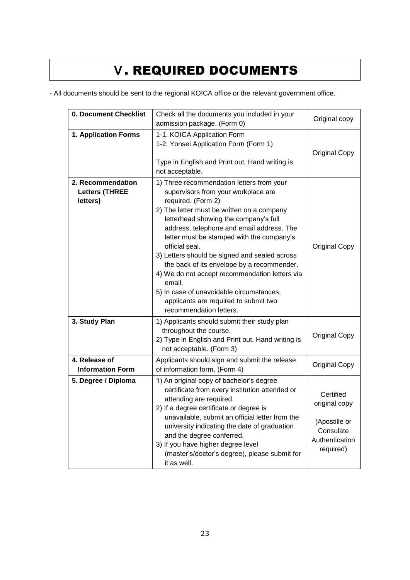## **Ⅴ**. REQUIRED DOCUMENTS

<span id="page-24-0"></span>- All documents should be sent to the regional KOICA office or the relevant government office.

| 0. Document Checklist                                  | Check all the documents you included in your<br>admission package. (Form 0)                                                                                                                                                                                                                                                                                                                                                                                                                                                                                                          | Original copy                                                                           |  |
|--------------------------------------------------------|--------------------------------------------------------------------------------------------------------------------------------------------------------------------------------------------------------------------------------------------------------------------------------------------------------------------------------------------------------------------------------------------------------------------------------------------------------------------------------------------------------------------------------------------------------------------------------------|-----------------------------------------------------------------------------------------|--|
| 1. Application Forms                                   | 1-1. KOICA Application Form<br>1-2. Yonsei Application Form (Form 1)<br>Type in English and Print out, Hand writing is<br>not acceptable.                                                                                                                                                                                                                                                                                                                                                                                                                                            | <b>Original Copy</b>                                                                    |  |
| 2. Recommendation<br><b>Letters (THREE</b><br>letters) | 1) Three recommendation letters from your<br>supervisors from your workplace are<br>required. (Form 2)<br>2) The letter must be written on a company<br>letterhead showing the company's full<br>address, telephone and email address. The<br>letter must be stamped with the company's<br>official seal.<br>3) Letters should be signed and sealed across<br>the back of its envelope by a recommender.<br>4) We do not accept recommendation letters via<br>email.<br>5) In case of unavoidable circumstances,<br>applicants are required to submit two<br>recommendation letters. | <b>Original Copy</b>                                                                    |  |
| 3. Study Plan                                          | 1) Applicants should submit their study plan<br>throughout the course.<br>2) Type in English and Print out, Hand writing is<br>not acceptable. (Form 3)                                                                                                                                                                                                                                                                                                                                                                                                                              | <b>Original Copy</b>                                                                    |  |
| 4. Release of<br><b>Information Form</b>               | Applicants should sign and submit the release<br>of information form. (Form 4)                                                                                                                                                                                                                                                                                                                                                                                                                                                                                                       | <b>Original Copy</b>                                                                    |  |
| 5. Degree / Diploma                                    | 1) An original copy of bachelor's degree<br>certificate from every institution attended or<br>attending are required.<br>2) If a degree certificate or degree is<br>unavailable, submit an official letter from the<br>university indicating the date of graduation<br>and the degree conferred.<br>3) If you have higher degree level<br>(master's/doctor's degree), please submit for<br>it as well.                                                                                                                                                                               | Certified<br>original copy<br>(Apostille or<br>Consulate<br>Authentication<br>required) |  |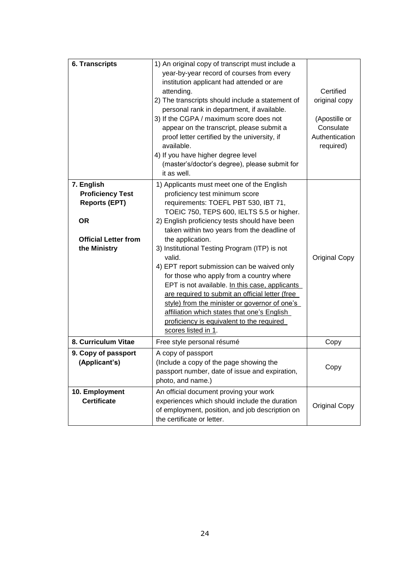| <b>6. Transcripts</b>                                                                                                     | 1) An original copy of transcript must include a<br>year-by-year record of courses from every<br>institution applicant had attended or are<br>attending.<br>2) The transcripts should include a statement of<br>personal rank in department, if available.<br>3) If the CGPA / maximum score does not<br>appear on the transcript, please submit a<br>proof letter certified by the university, if<br>available.<br>4) If you have higher degree level<br>(master's/doctor's degree), please submit for<br>it as well.                                                                                                                                                                                               | Certified<br>original copy<br>(Apostille or<br>Consulate<br>Authentication<br>required) |
|---------------------------------------------------------------------------------------------------------------------------|----------------------------------------------------------------------------------------------------------------------------------------------------------------------------------------------------------------------------------------------------------------------------------------------------------------------------------------------------------------------------------------------------------------------------------------------------------------------------------------------------------------------------------------------------------------------------------------------------------------------------------------------------------------------------------------------------------------------|-----------------------------------------------------------------------------------------|
| 7. English<br><b>Proficiency Test</b><br><b>Reports (EPT)</b><br><b>OR</b><br><b>Official Letter from</b><br>the Ministry | 1) Applicants must meet one of the English<br>proficiency test minimum score<br>requirements: TOEFL PBT 530, IBT 71,<br>TOEIC 750, TEPS 600, IELTS 5.5 or higher.<br>2) English proficiency tests should have been<br>taken within two years from the deadline of<br>the application.<br>3) Institutional Testing Program (ITP) is not<br>valid.<br>4) EPT report submission can be waived only<br>for those who apply from a country where<br>EPT is not available. In this case, applicants<br>are required to submit an official letter (free<br>style) from the minister or governor of one's<br>affiliation which states that one's English<br>proficiency is equivalent to the required<br>scores listed in 1. | <b>Original Copy</b>                                                                    |
| 8. Curriculum Vitae                                                                                                       | Free style personal résumé                                                                                                                                                                                                                                                                                                                                                                                                                                                                                                                                                                                                                                                                                           | Copy                                                                                    |
| 9. Copy of passport<br>(Applicant's)                                                                                      | A copy of passport<br>(Include a copy of the page showing the<br>passport number, date of issue and expiration,<br>photo, and name.)                                                                                                                                                                                                                                                                                                                                                                                                                                                                                                                                                                                 | Copy                                                                                    |
| 10. Employment<br><b>Certificate</b>                                                                                      | An official document proving your work<br>experiences which should include the duration<br>of employment, position, and job description on<br>the certificate or letter.                                                                                                                                                                                                                                                                                                                                                                                                                                                                                                                                             | <b>Original Copy</b>                                                                    |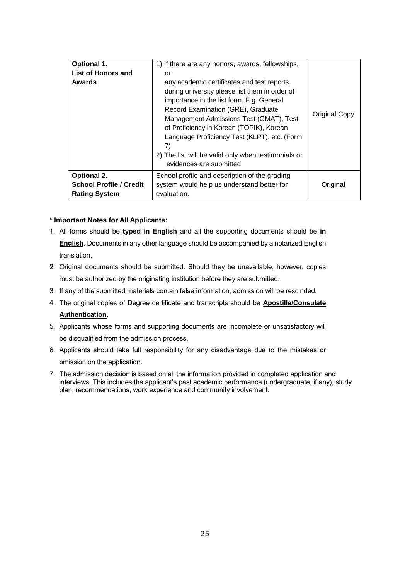| Optional 1.<br><b>List of Honors and</b><br><b>Awards</b> | 1) If there are any honors, awards, fellowships,<br>or<br>any academic certificates and test reports<br>during university please list them in order of<br>importance in the list form. E.g. General<br>Record Examination (GRE), Graduate<br>Management Admissions Test (GMAT), Test<br>of Proficiency in Korean (TOPIK), Korean<br>Language Proficiency Test (KLPT), etc. (Form<br>7)<br>2) The list will be valid only when testimonials or<br>evidences are submitted | <b>Original Copy</b> |
|-----------------------------------------------------------|--------------------------------------------------------------------------------------------------------------------------------------------------------------------------------------------------------------------------------------------------------------------------------------------------------------------------------------------------------------------------------------------------------------------------------------------------------------------------|----------------------|
| <b>Optional 2.</b>                                        | School profile and description of the grading                                                                                                                                                                                                                                                                                                                                                                                                                            |                      |
| <b>School Profile / Credit</b><br><b>Rating System</b>    | system would help us understand better for<br>evaluation.                                                                                                                                                                                                                                                                                                                                                                                                                | Original             |

#### **\* Important Notes for All Applicants:**

- 1. All forms should be **typed in English** and all the supporting documents should be **in English**. Documents in any other language should be accompanied by a notarized English translation.
- 2. Original documents should be submitted. Should they be unavailable, however, copies must be authorized by the originating institution before they are submitted.
- 3. If any of the submitted materials contain false information, admission will be rescinded.
- 4. The original copies of Degree certificate and transcripts should be **Apostille/Consulate**

#### **Authentication.**

- 5. Applicants whose forms and supporting documents are incomplete or unsatisfactory will be disqualified from the admission process.
- 6. Applicants should take full responsibility for any disadvantage due to the mistakes or omission on the application.
- 7. The admission decision is based on all the information provided in completed application and interviews. This includes the applicant's past academic performance (undergraduate, if any), study plan, recommendations, work experience and community involvement.